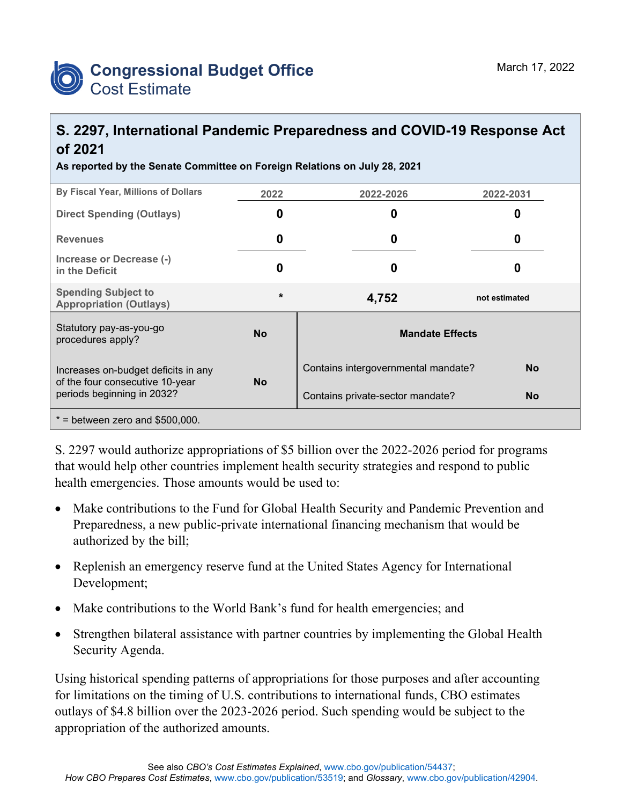

## **S. 2297, International Pandemic Preparedness and COVID-19 Response Act of 2021**

**As reported by the Senate Committee on Foreign Relations on July 28, 2021**

| By Fiscal Year, Millions of Dollars                                    | 2022      | 2022-2026                           | 2022-2031     |  |
|------------------------------------------------------------------------|-----------|-------------------------------------|---------------|--|
| <b>Direct Spending (Outlays)</b>                                       | O         | 0                                   | n             |  |
| <b>Revenues</b>                                                        | 0         | 0                                   | O             |  |
| Increase or Decrease (-)<br>in the Deficit                             | 0         | 0                                   |               |  |
| <b>Spending Subject to</b><br><b>Appropriation (Outlays)</b>           | $\star$   | 4,752                               | not estimated |  |
| Statutory pay-as-you-go<br>procedures apply?                           | <b>No</b> | <b>Mandate Effects</b>              |               |  |
| Increases on-budget deficits in any<br>of the four consecutive 10-year | <b>No</b> | Contains intergovernmental mandate? | <b>No</b>     |  |
| periods beginning in 2032?                                             |           | Contains private-sector mandate?    | <b>No</b>     |  |
| $*$ = between zero and \$500,000.                                      |           |                                     |               |  |

S. 2297 would authorize appropriations of \$5 billion over the 2022-2026 period for programs that would help other countries implement health security strategies and respond to public health emergencies. Those amounts would be used to:

- Make contributions to the Fund for Global Health Security and Pandemic Prevention and Preparedness, a new public-private international financing mechanism that would be authorized by the bill;
- Replenish an emergency reserve fund at the United States Agency for International Development;
- Make contributions to the World Bank's fund for health emergencies; and
- Strengthen bilateral assistance with partner countries by implementing the Global Health Security Agenda.

Using historical spending patterns of appropriations for those purposes and after accounting for limitations on the timing of U.S. contributions to international funds, CBO estimates outlays of \$4.8 billion over the 2023-2026 period. Such spending would be subject to the appropriation of the authorized amounts.